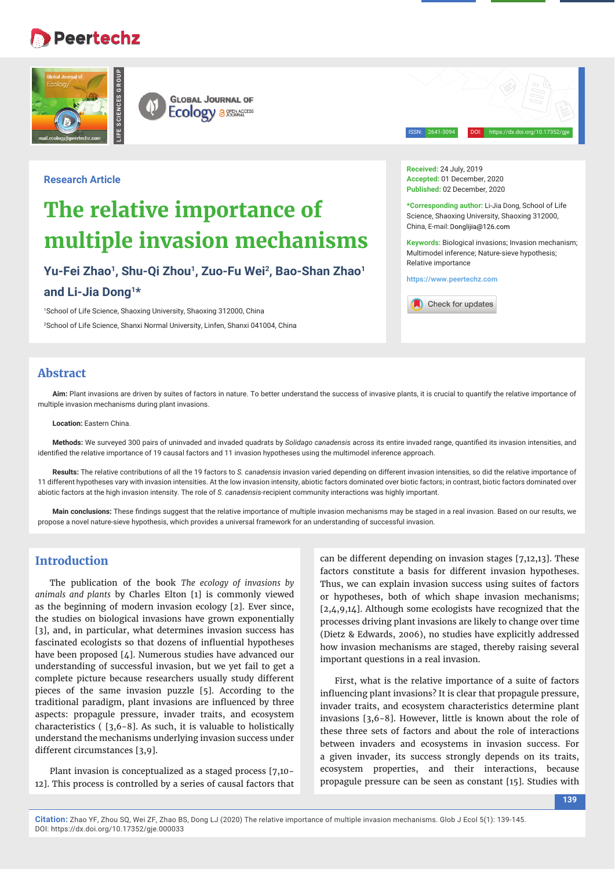## **Peertechz**





ISSN: 2641-3094 DOI: https://dx.doi.org/10.17352/gje

## **Research Article**

# **The relative importance of multiple invasion mechanisms**

**Yu-Fei Zhao1, Shu-Qi Zhou1, Zuo-Fu Wei2, Bao-Shan Zhao1**

## **and Li-Jia Dong1\***

1 School of Life Science, Shaoxing University, Shaoxing 312000, China 2 School of Life Science, Shanxi Normal University, Linfen, Shanxi 041004, China **Received:** 24 July, 2019 **Accepted:** 01 December, 2020 **Published:** 02 December, 2020

**\*Corresponding author:** Li-Jia Dong, School of Life Science, Shaoxing University, Shaoxing 312000, China, E-mail: Donglijia@126.com

**Keywords:** Biological invasions; Invasion mechanism; Multimodel inference; Nature-sieve hypothesis; Relative importance

**https://www.peertechz.com**



## **Abstract**

Aim: Plant invasions are driven by suites of factors in nature. To better understand the success of invasive plants, it is crucial to quantify the relative importance of multiple invasion mechanisms during plant invasions.

#### **Location:** Eastern China.

Methods: We surveyed 300 pairs of uninvaded and invaded quadrats by *Solidago canadensis* across its entire invaded range, quantified its invasion intensities, and identified the relative importance of 19 causal factors and 11 invasion hypotheses using the multimodel inference approach.

**Results:** The relative contributions of all the 19 factors to *S. canadensis* invasion varied depending on different invasion intensities, so did the relative importance of 11 different hypotheses vary with invasion intensities. At the low invasion intensity, abiotic factors dominated over biotic factors; in contrast, biotic factors dominated over abiotic factors at the high invasion intensity. The role of *S. canadensis*-recipient community interactions was highly important.

Main conclusions: These findings suggest that the relative importance of multiple invasion mechanisms may be staged in a real invasion. Based on our results, we propose a novel nature-sieve hypothesis, which provides a universal framework for an understanding of successful invasion.

## **Introduction**

The publication of the book *The ecology of invasions by animals and plants* by Charles Elton [1] is commonly viewed as the beginning of modern invasion ecology [2]. Ever since, the studies on biological invasions have grown exponentially [3], and, in particular, what determines invasion success has fascinated ecologists so that dozens of influential hypotheses have been proposed [4]. Numerous studies have advanced our understanding of successful invasion, but we yet fail to get a complete picture because researchers usually study different pieces of the same invasion puzzle [5]. According to the traditional paradigm, plant invasions are influenced by three aspects: propagule pressure, invader traits, and ecosystem characteristics ( [3,6-8]. As such, it is valuable to holistically understand the mechanisms underlying invasion success under different circumstances [3,9].

Plant invasion is conceptualized as a staged process [7,10- 12]. This process is controlled by a series of causal factors that can be different depending on invasion stages [7,12,13]. These factors constitute a basis for different invasion hypotheses. Thus, we can explain invasion success using suites of factors or hypotheses, both of which shape invasion mechanisms; [2,4,9,14]. Although some ecologists have recognized that the processes driving plant invasions are likely to change over time (Dietz & Edwards, 2006), no studies have explicitly addressed how invasion mechanisms are staged, thereby raising several important questions in a real invasion.

First, what is the relative importance of a suite of factors influencing plant invasions? It is clear that propagule pressure, invader traits, and ecosystem characteristics determine plant invasions [3,6-8]. However, little is known about the role of these three sets of factors and about the role of interactions between invaders and ecosystems in invasion success. For a given invader, its success strongly depends on its traits, ecosystem properties, and their interactions, because propagule pressure can be seen as constant [15]. Studies with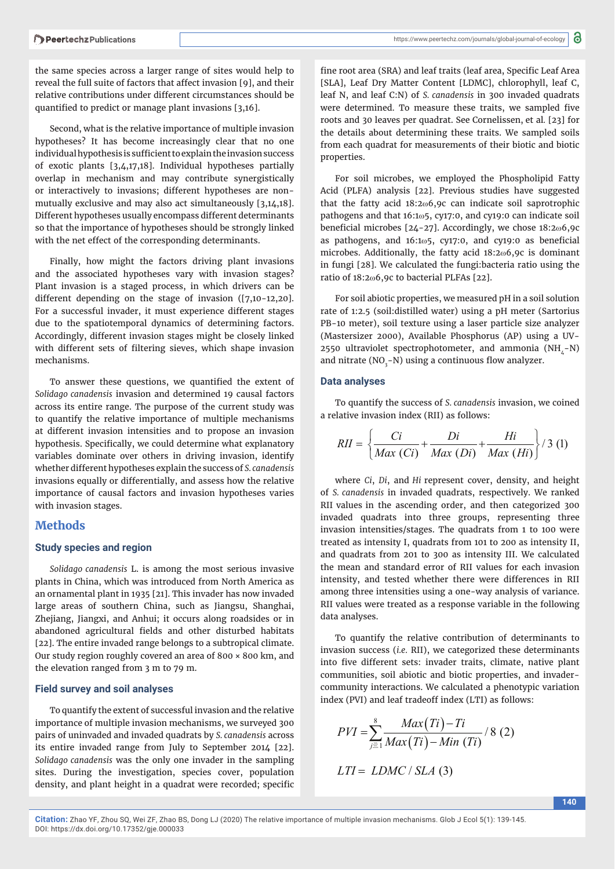the same species across a larger range of sites would help to reveal the full suite of factors that affect invasion [9], and their relative contributions under different circumstances should be quantified to predict or manage plant invasions  $[3,16]$ .

Second, what is the relative importance of multiple invasion hypotheses? It has become increasingly clear that no one individual hypothesis is sufficient to explain the invasion success of exotic plants [3,4,17,18]. Individual hypotheses partially overlap in mechanism and may contribute synergistically or interactively to invasions; different hypotheses are nonmutually exclusive and may also act simultaneously [3,14,18]. Different hypotheses usually encompass different determinants so that the importance of hypotheses should be strongly linked with the net effect of the corresponding determinants.

Finally, how might the factors driving plant invasions and the associated hypotheses vary with invasion stages? Plant invasion is a staged process, in which drivers can be different depending on the stage of invasion ([7,10-12,20]. For a successful invader, it must experience different stages due to the spatiotemporal dynamics of determining factors. Accordingly, different invasion stages might be closely linked with different sets of filtering sieves, which shape invasion mechanisms.

To answer these questions, we quantified the extent of *Solidago canadensis* invasion and determined 19 causal factors across its entire range. The purpose of the current study was to quantify the relative importance of multiple mechanisms at different invasion intensities and to propose an invasion hypothesis. Specifically, we could determine what explanatory variables dominate over others in driving invasion, identify whether different hypotheses explain the success of *S. canadensis*  invasions equally or differentially, and assess how the relative importance of causal factors and invasion hypotheses varies with invasion stages.

## **Methods**

#### **Study species and region**

*Solidago canadensis* L. is among the most serious invasive plants in China, which was introduced from North America as an ornamental plant in 1935 [21]. This invader has now invaded large areas of southern China, such as Jiangsu, Shanghai, Zhejiang, Jiangxi, and Anhui; it occurs along roadsides or in abandoned agricultural fields and other disturbed habitats [22]. The entire invaded range belongs to a subtropical climate. Our study region roughly covered an area of 800 × 800 km, and the elevation ranged from 3 m to 79 m.

#### **Field survey and soil analyses**

To quantify the extent of successful invasion and the relative importance of multiple invasion mechanisms, we surveyed 300 pairs of uninvaded and invaded quadrats by *S. canadensis* across its entire invaded range from July to September 2014 [22]. *Solidago canadensis* was the only one invader in the sampling sites. During the investigation, species cover, population density, and plant height in a quadrat were recorded; specific

fine root area (SRA) and leaf traits (leaf area, Specific Leaf Area [SLA], Leaf Dry Matter Content [LDMC], chlorophyll, leaf C, leaf N, and leaf C:N) of *S. canadensis* in 300 invaded quadrats were determined. To measure these traits, we sampled five roots and 30 leaves per quadrat. See Cornelissen, et al*.* [23] for the details about determining these traits. We sampled soils from each quadrat for measurements of their biotic and biotic properties.

For soil microbes, we employed the Phospholipid Fatty Acid (PLFA) analysis [22]. Previous studies have suggested that the fatty acid  $18:2\omega$ 6,9c can indicate soil saprotrophic pathogens and that  $16:1\omega$ 5, cy17:0, and cy19:0 can indicate soil beneficial microbes  $[24-27]$ . Accordingly, we chose  $18:2\omega$ 6,9c as pathogens, and  $16:1\omega$ 5, cy17:0, and cy19:0 as beneficial microbes. Additionally, the fatty acid  $18:2\omega$ 6,9c is dominant in fungi [28]. We calculated the fungi:bacteria ratio using the ratio of  $18:2\omega$ 6,9c to bacterial PLFAs [22].

For soil abiotic properties, we measured pH in a soil solution rate of 1:2.5 (soil:distilled water) using a pH meter (Sartorius PB-10 meter), soil texture using a laser particle size analyzer (Mastersizer 2000), Available Phosphorus (AP) using a UV-2550 ultraviolet spectrophotometer, and ammonia  $(NH,-N)$ and nitrate (NO<sub>3</sub>-N) using a continuous flow analyzer.

#### **Data analyses**

To quantify the success of *S. canadensis* invasion, we coined a relative invasion index (RII) as follows:

$$
RII = \left\{ \frac{Ci}{Max\ (Ci)} + \frac{Di}{Max\ (Di)} + \frac{Hi}{Max\ (Hi)} \right\} / 3\ (1)
$$

where *Ci*, *Di*, and *Hi* represent cover, density, and height of *S. canadensis* in invaded quadrats, respectively. We ranked RII values in the ascending order, and then categorized 300 invaded quadrats into three groups, representing three invasion intensities/stages. The quadrats from 1 to 100 were treated as intensity I, quadrats from 101 to 200 as intensity II, and quadrats from 201 to 300 as intensity III. We calculated the mean and standard error of RII values for each invasion intensity, and tested whether there were differences in RII among three intensities using a one-way analysis of variance. RII values were treated as a response variable in the following data analyses.

To quantify the relative contribution of determinants to invasion success (*i.e.* RII), we categorized these determinants into five different sets: invader traits, climate, native plant communities, soil abiotic and biotic properties, and invadercommunity interactions. We calculated a phenotypic variation index (PVI) and leaf tradeoff index (LTI) as follows:

$$
PVI = \sum_{j\equiv 1}^{8} \frac{Max(Ti) - Ti}{Max(Ti) - Min(Ti)} / 8 (2)
$$
  
LTI = LDMC / SLA (3)

**140**

**Citation:** Zhao YF, Zhou SQ, Wei ZF, Zhao BS, Dong LJ (2020) The relative importance of multiple invasion mechanisms. Glob J Ecol 5(1): 139-145. DOI: https://dx.doi.org/10.17352/gje.000033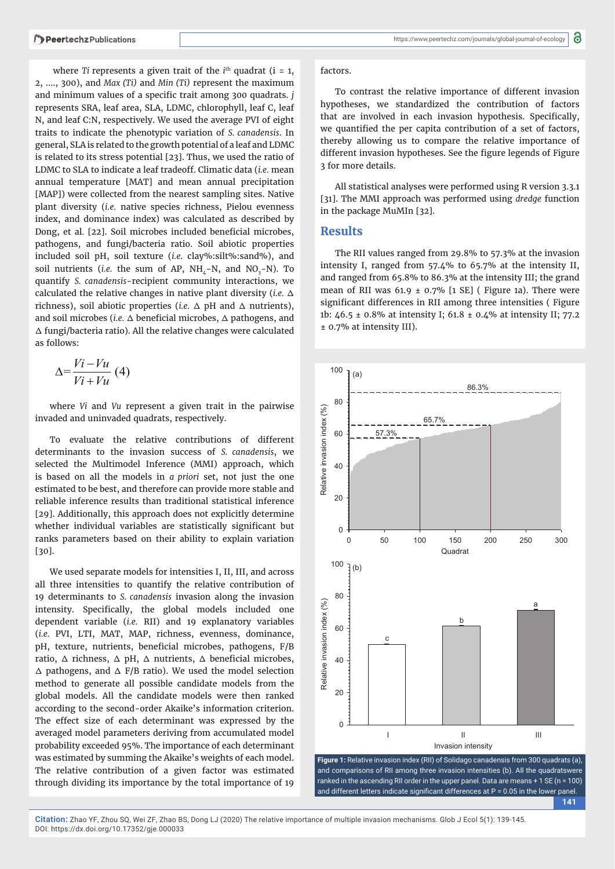where *Ti* represents a given trait of the  $i<sup>th</sup>$  quadrat ( $i = 1$ , 2, …., 300), and *Max (Ti)* and *Min (Ti)* represent the maximum and minimum values of a specific trait among 300 quadrats. *j* represents SRA, leaf area, SLA, LDMC, chlorophyll, leaf C, leaf N, and leaf C:N, respectively. We used the average PVI of eight traits to indicate the phenotypic variation of *S. canadensis*. In general, SLA is related to the growth potential of a leaf and LDMC is related to its stress potential [23]. Thus, we used the ratio of LDMC to SLA to indicate a leaf tradeoff. Climatic data (*i.e.* mean annual temperature [MAT] and mean annual precipitation [MAP]) were collected from the nearest sampling sites. Native plant diversity (*i.e.* native species richness, Pielou evenness index, and dominance index) was calculated as described by Dong, et al. [22]. Soil microbes included beneficial microbes, pathogens, and fungi/bacteria ratio. Soil abiotic properties included soil pH, soil texture (*i.e.* clay%:silt%:sand%), and soil nutrients (*i.e.* the sum of AP,  $NH_4$ -N, and  $NO_3$ -N). To quantify *S. canadensis*-recipient community interactions, we calculated the relative changes in native plant diversity (*i.e.* Δ richness), soil abiotic properties (*i.e.* Δ pH and Δ nutrients), and soil microbes (*i.e.* Δ beneficial microbes, Δ pathogens, and Δ fungi/bacteria ratio). All the relative changes were calculated as follows:

$$
\Delta = \frac{Vi - Vu}{Vi + Vu} \text{ (4)}
$$

where *Vi* and *Vu* represent a given trait in the pairwise invaded and uninvaded quadrats, respectively.

To evaluate the relative contributions of different determinants to the invasion success of *S. canadensis*, we selected the Multimodel Inference (MMI) approach, which is based on all the models in *a priori* set, not just the one estimated to be best, and therefore can provide more stable and reliable inference results than traditional statistical inference [29]. Additionally, this approach does not explicitly determine whether individual variables are statistically significant but ranks parameters based on their ability to explain variation [30].

We used separate models for intensities I, II, III, and across all three intensities to quantify the relative contribution of 19 determinants to *S. canadensis* invasion along the invasion intensity. Specifically, the global models included one dependent variable (*i.e.* RII) and 19 explanatory variables (*i.e.* PVI, LTI, MAT, MAP, richness, evenness, dominance, pH, texture, nutrients, beneficial microbes, pathogens, F/B ratio,  $Δ$  richness,  $Δ$  pH,  $Δ$  nutrients,  $Δ$  beneficial microbes,  $\Delta$  pathogens, and  $\Delta$  F/B ratio). We used the model selection method to generate all possible candidate models from the global models. All the candidate models were then ranked according to the second-order Akaike's information criterion. The effect size of each determinant was expressed by the averaged model parameters deriving from accumulated model probability exceeded 95%. The importance of each determinant was estimated by summing the Akaike's weights of each model. The relative contribution of a given factor was estimated through dividing its importance by the total importance of 19

#### factors.

To contrast the relative importance of different invasion hypotheses, we standardized the contribution of factors that are involved in each invasion hypothesis. Specifically, we quantified the per capita contribution of a set of factors, thereby allowing us to compare the relative importance of different invasion hypotheses. See the figure legends of Figure 3 for more details.

All statistical analyses were performed using R version 3.3.1 [31]. The MMI approach was performed using *dredge* function in the package MuMIn [32].

#### **Results**

The RII values ranged from 29.8% to 57.3% at the invasion intensity I, ranged from 57.4% to 65.7% at the intensity II, and ranged from 65.8% to 86.3% at the intensity III; the grand mean of RII was  $61.9 \pm 0.7\%$  [1 SE] (Figure 1a). There were significant differences in RII among three intensities (Figure 1b: 46.5 ± 0.8% at intensity I; 61.8 ± 0.4% at intensity II; 77.2 ± 0.7% at intensity III).



**141** and comparisons of RII among three invasion intensities (b). All the quadratswere ranked in the ascending RII order in the upper panel. Data are means + 1 SE (n = 100) and different letters indicate significant differences at  $P = 0.05$  in the lower panel.

**Citation:** Zhao YF, Zhou SQ, Wei ZF, Zhao BS, Dong LJ (2020) The relative importance of multiple invasion mechanisms. Glob J Ecol 5(1): 139-145. DOI: https://dx.doi.org/10.17352/gje.000033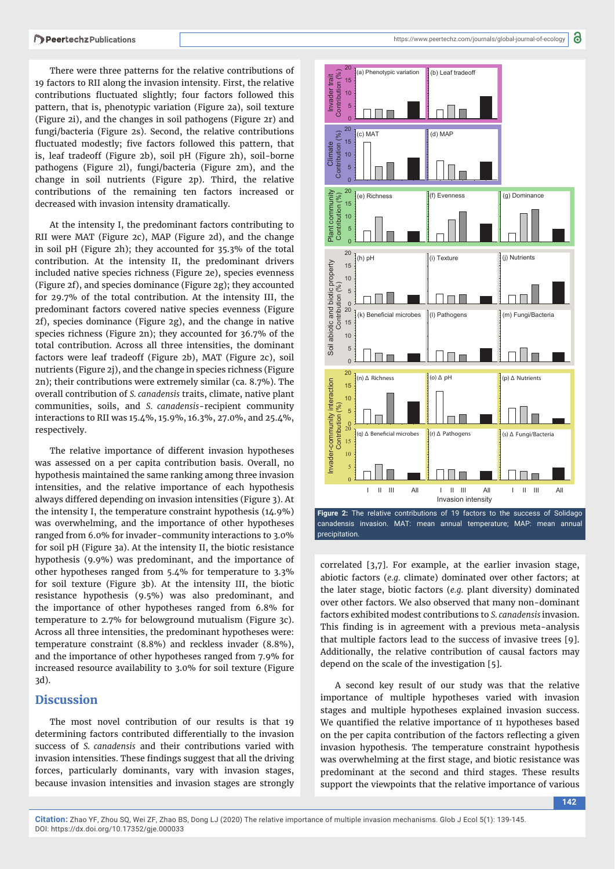There were three patterns for the relative contributions of 19 factors to RII along the invasion intensity. First, the relative contributions fluctuated slightly; four factors followed this pattern, that is, phenotypic variation (Figure 2a), soil texture (Figure 2i), and the changes in soil pathogens (Figure 2r) and fungi/bacteria (Figure 2s). Second, the relative contributions fluctuated modestly; five factors followed this pattern, that is, leaf tradeoff (Figure 2b), soil pH (Figure 2h), soil-borne pathogens (Figure 2l), fungi/bacteria (Figure 2m), and the change in soil nutrients (Figure 2p). Third, the relative contributions of the remaining ten factors increased or decreased with invasion intensity dramatically.

At the intensity I, the predominant factors contributing to RII were MAT (Figure 2c), MAP (Figure 2d), and the change in soil pH (Figure 2h); they accounted for 35.3% of the total contribution. At the intensity II, the predominant drivers included native species richness (Figure 2e), species evenness (Figure 2f), and species dominance (Figure 2g); they accounted for 29.7% of the total contribution. At the intensity III, the predominant factors covered native species evenness (Figure 2f), species dominance (Figure 2g), and the change in native species richness (Figure 2n); they accounted for 36.7% of the total contribution. Across all three intensities, the dominant factors were leaf tradeoff (Figure 2b), MAT (Figure 2c), soil nutrients (Figure 2j), and the change in species richness (Figure 2n); their contributions were extremely similar (ca. 8.7%). The overall contribution of *S. canadensis* traits, climate, native plant communities, soils, and *S. canadensis*-recipient community interactions to RII was 15.4%, 15.9%, 16.3%, 27.0%, and 25.4%, respectively.

The relative importance of different invasion hypotheses was assessed on a per capita contribution basis. Overall, no hypothesis maintained the same ranking among three invasion intensities, and the relative importance of each hypothesis always differed depending on invasion intensities (Figure 3). At the intensity I, the temperature constraint hypothesis (14.9%) was overwhelming, and the importance of other hypotheses ranged from 6.0% for invader-community interactions to 3.0% for soil pH (Figure 3a). At the intensity II, the biotic resistance hypothesis (9.9%) was predominant, and the importance of other hypotheses ranged from 5.4% for temperature to 3.3% for soil texture (Figure 3b). At the intensity III, the biotic resistance hypothesis (9.5%) was also predominant, and the importance of other hypotheses ranged from 6.8% for temperature to 2.7% for belowground mutualism (Figure 3c). Across all three intensities, the predominant hypotheses were: temperature constraint (8.8%) and reckless invader (8.8%), and the importance of other hypotheses ranged from 7.9% for increased resource availability to 3.0% for soil texture (Figure 3d).

## **Discussion**

The most novel contribution of our results is that 19 determining factors contributed differentially to the invasion success of *S. canadensis* and their contributions varied with invasion intensities. These findings suggest that all the driving forces, particularly dominants, vary with invasion stages, because invasion intensities and invasion stages are strongly



canadensis invasion. MAT: mean annual temperature; MAP: mean annual precipitation.

correlated [3,7]. For example, at the earlier invasion stage, abiotic factors (*e.g.* climate) dominated over other factors; at the later stage, biotic factors (*e.g.* plant diversity) dominated over other factors. We also observed that many non-dominant factors exhibited modest contributions to *S. canadensis* invasion. This finding is in agreement with a previous meta-analysis that multiple factors lead to the success of invasive trees [9]. Additionally, the relative contribution of causal factors may depend on the scale of the investigation [5].

A second key result of our study was that the relative importance of multiple hypotheses varied with invasion stages and multiple hypotheses explained invasion success. We quantified the relative importance of 11 hypotheses based on the per capita contribution of the factors reflecting a given invasion hypothesis. The temperature constraint hypothesis was overwhelming at the first stage, and biotic resistance was predominant at the second and third stages. These results support the viewpoints that the relative importance of various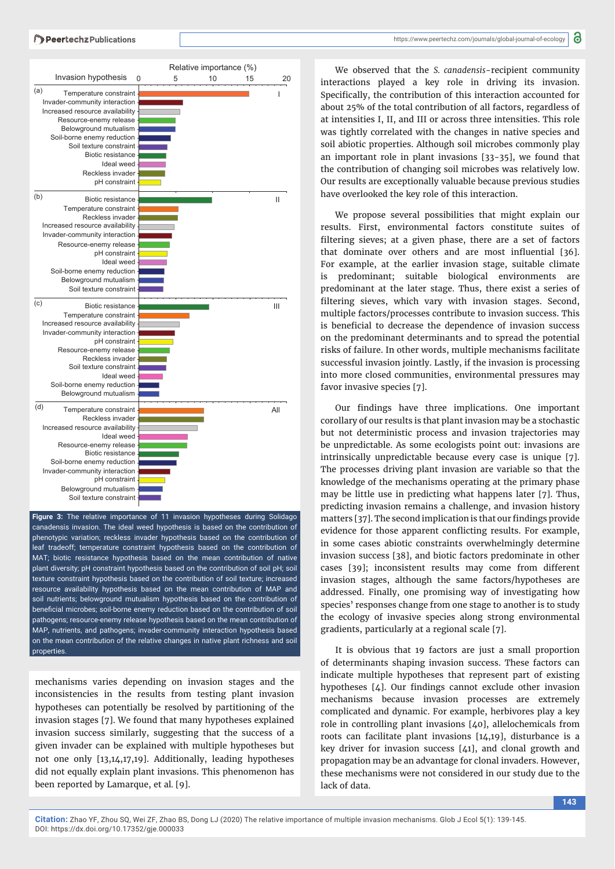

phenotypic variation; reckless invader hypothesis based on the contribution of leaf tradeoff; temperature constraint hypothesis based on the contribution of MAT; biotic resistance hypothesis based on the mean contribution of native plant diversity; pH constraint hypothesis based on the contribution of soil pH; soil texture constraint hypothesis based on the contribution of soil texture; increased resource availability hypothesis based on the mean contribution of MAP and soil nutrients; belowground mutualism hypothesis based on the contribution of beneficial microbes; soil-borne enemy reduction based on the contribution of soil pathogens; resource-enemy release hypothesis based on the mean contribution of MAP, nutrients, and pathogens; invader-community interaction hypothesis based on the mean contribution of the relative changes in native plant richness and soil **properties** 

mechanisms varies depending on invasion stages and the inconsistencies in the results from testing plant invasion hypotheses can potentially be resolved by partitioning of the invasion stages [7]. We found that many hypotheses explained invasion success similarly, suggesting that the success of a given invader can be explained with multiple hypotheses but not one only [13,14,17,19]. Additionally, leading hypotheses did not equally explain plant invasions. This phenomenon has been reported by Lamarque, et al*.* [9].

We observed that the *S. canadensis*-recipient community interactions played a key role in driving its invasion. Specifically, the contribution of this interaction accounted for about 25% of the total contribution of all factors, regardless of at intensities I, II, and III or across three intensities. This role was tightly correlated with the changes in native species and soil abiotic properties. Although soil microbes commonly play an important role in plant invasions [33-35], we found that the contribution of changing soil microbes was relatively low. Our results are exceptionally valuable because previous studies have overlooked the key role of this interaction.

We propose several possibilities that might explain our results. First, environmental factors constitute suites of filtering sieves; at a given phase, there are a set of factors that dominate over others and are most influential [36]. For example, at the earlier invasion stage, suitable climate is predominant; suitable biological environments are predominant at the later stage. Thus, there exist a series of filtering sieves, which vary with invasion stages. Second, multiple factors/processes contribute to invasion success. This is beneficial to decrease the dependence of invasion success on the predominant determinants and to spread the potential risks of failure. In other words, multiple mechanisms facilitate successful invasion jointly. Lastly, if the invasion is processing into more closed communities, environmental pressures may favor invasive species [7].

Our findings have three implications. One important corollary of our results is that plant invasion may be a stochastic but not deterministic process and invasion trajectories may be unpredictable. As some ecologists point out: invasions are intrinsically unpredictable because every case is unique [7]. The processes driving plant invasion are variable so that the knowledge of the mechanisms operating at the primary phase may be little use in predicting what happens later [7]. Thus, predicting invasion remains a challenge, and invasion history matters [37]. The second implication is that our findings provide evidence for those apparent conflicting results. For example, in some cases abiotic constraints overwhelmingly determine invasion success [38], and biotic factors predominate in other cases [39]; inconsistent results may come from different invasion stages, although the same factors/hypotheses are addressed. Finally, one promising way of investigating how species' responses change from one stage to another is to study the ecology of invasive species along strong environmental gradients, particularly at a regional scale [7].

It is obvious that 19 factors are just a small proportion of determinants shaping invasion success. These factors can indicate multiple hypotheses that represent part of existing hypotheses  $[\Delta]$ . Our findings cannot exclude other invasion mechanisms because invasion processes are extremely complicated and dynamic. For example, herbivores play a key role in controlling plant invasions [40], allelochemicals from roots can facilitate plant invasions [14,19], disturbance is a key driver for invasion success [41], and clonal growth and propagation may be an advantage for clonal invaders. However, these mechanisms were not considered in our study due to the lack of data.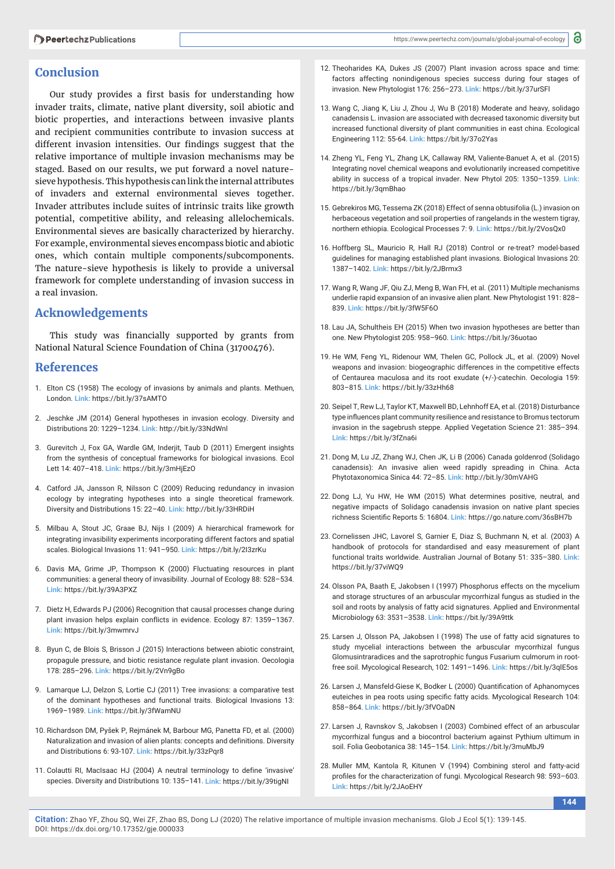## **Conclusion**

Our study provides a first basis for understanding how invader traits, climate, native plant diversity, soil abiotic and biotic properties, and interactions between invasive plants and recipient communities contribute to invasion success at different invasion intensities. Our findings suggest that the relative importance of multiple invasion mechanisms may be staged. Based on our results, we put forward a novel naturesieve hypothesis. This hypothesis can link the internal attributes of invaders and external environmental sieves together. Invader attributes include suites of intrinsic traits like growth potential, competitive ability, and releasing allelochemicals. Environmental sieves are basically characterized by hierarchy. For example, environmental sieves encompass biotic and abiotic ones, which contain multiple components/subcomponents. The nature-sieve hypothesis is likely to provide a universal framework for complete understanding of invasion success in a real invasion.

## **Acknowledgements**

This study was financially supported by grants from National Natural Science Foundation of China (31700476).

### **References**

- 1. Elton CS (1958) The ecology of invasions by animals and plants. Methuen, London. **Link:** https://bit.ly/37sAMTO
- 2. Jeschke JM (2014) General hypotheses in invasion ecology. Diversity and Distributions 20: 1229–1234. **Link:** http://bit.ly/33NdWnl
- 3. Gurevitch J, Fox GA, Wardle GM, Inderjit, Taub D (2011) Emergent insights from the synthesis of conceptual frameworks for biological invasions. Ecol Lett 14: 407–418. **Link:** https://bit.ly/3mHjEzO
- 4. Catford JA, Jansson R, Nilsson C (2009) Reducing redundancy in invasion ecology by integrating hypotheses into a single theoretical framework. Diversity and Distributions 15: 22–40. **Link:** http://bit.ly/33HRDiH
- 5. Milbau A, Stout JC, Graae BJ, Nijs I (2009) A hierarchical framework for integrating invasibility experiments incorporating different factors and spatial scales. Biological Invasions 11: 941–950. **Link:** https://bit.ly/2I3zrKu
- 6. Davis MA, Grime JP, Thompson K (2000) Fluctuating resources in plant communities: a general theory of invasibility. Journal of Ecology 88: 528–534. **Link:** https://bit.ly/39A3PXZ
- 7. Dietz H, Edwards PJ (2006) Recognition that causal processes change during plant invasion helps explain conflicts in evidence. Ecology 87: 1359–1367. **Link:** https://bit.ly/3mwmrvJ
- 8. Byun C, de Blois S, Brisson J (2015) Interactions between abiotic constraint, propagule pressure, and biotic resistance regulate plant invasion. Oecologia 178: 285–296. **Link:** https://bit.ly/2Vn9gBo
- 9. Lamarque LJ, Delzon S, Lortie CJ (2011) Tree invasions: a comparative test of the dominant hypotheses and functional traits. Biological Invasions 13: 1969–1989. **Link:** https://bit.ly/3fWamNU
- 10. Richardson DM, Pyšek P, Rejmánek M, Barbour MG, Panetta FD, et al. (2000) Naturalization and invasion of alien plants: concepts and definitions. Diversity and Distributions 6: 93-107. **Link:** https://bit.ly/33zPqr8
- 11. Colautti RI, MacIsaac HJ (2004) A neutral terminology to define 'invasive' species. Diversity and Distributions 10: 135–141. **Link:** https://bit.ly/39tigNI
- 12. Theoharides KA, Dukes JS (2007) Plant invasion across space and time: factors affecting nonindigenous species success during four stages of invasion. New Phytologist 176: 256–273. **Link:** https://bit.ly/37urSFl
- 13. Wang C, Jiang K, Liu J, Zhou J, Wu B (2018) Moderate and heavy, solidago canadensis L. invasion are associated with decreased taxonomic diversity but increased functional diversity of plant communities in east china. Ecological Engineering 112: 55-64. **Link:** https://bit.ly/37o2Yas
- 14. Zheng YL, Feng YL, Zhang LK, Callaway RM, Valiente-Banuet A, et al. (2015) Integrating novel chemical weapons and evolutionarily increased competitive ability in success of a tropical invader. New Phytol 205: 1350–1359. **Link:** https://bit.ly/3qmBhao
- 15. Gebrekiros MG, Tessema ZK (2018) Effect of senna obtusifolia (L.) invasion on herbaceous vegetation and soil properties of rangelands in the western tigray, northern ethiopia. Ecological Processes 7: 9. **Link:** https://bit.ly/2VosQx0
- 16. Hoffberg SL, Mauricio R, Hall RJ (2018) Control or re-treat? model-based guidelines for managing established plant invasions. Biological Invasions 20: 1387–1402. **Link:** https://bit.ly/2JBrmx3
- 17. Wang R, Wang JF, Qiu ZJ, Meng B, Wan FH, et al. (2011) Multiple mechanisms underlie rapid expansion of an invasive alien plant. New Phytologist 191: 828– 839. **Link:** https://bit.ly/3fW5F6O
- 18. Lau JA, Schultheis EH (2015) When two invasion hypotheses are better than one. New Phytologist 205: 958–960. **Link:** https://bit.ly/36uotao
- 19. He WM, Feng YL, Ridenour WM, Thelen GC, Pollock JL, et al. (2009) Novel weapons and invasion: biogeographic differences in the competitive effects of Centaurea maculosa and its root exudate (+/-)-catechin. Oecologia 159: 803–815. **Link:** https://bit.ly/33zHh68
- 20. Seipel T, Rew LJ, Taylor KT, Maxwell BD, Lehnhoff EA, et al. (2018) Disturbance type influences plant community resilience and resistance to Bromus tectorum invasion in the sagebrush steppe. Applied Vegetation Science 21: 385–394. **Link:** https://bit.ly/3fZna6i
- 21. Dong M, Lu JZ, Zhang WJ, Chen JK, Li B (2006) Canada goldenrod (Solidago canadensis): An invasive alien weed rapidly spreading in China. Acta Phytotaxonomica Sinica 44: 72–85. **Link:** http://bit.ly/30mVAHG
- 22. Dong LJ, Yu HW, He WM (2015) What determines positive, neutral, and negative impacts of Solidago canadensis invasion on native plant species richness Scientific Reports 5: 16804. Link: https://go.nature.com/36sBH7b
- 23. Cornelissen JHC, Lavorel S, Garnier E, Diaz S, Buchmann N, et al. (2003) A handbook of protocols for standardised and easy measurement of plant functional traits worldwide. Australian Journal of Botany 51: 335–380. **Link:** https://bit.ly/37viWQ9
- 24. Olsson PA, Baath E, Jakobsen I (1997) Phosphorus effects on the mycelium and storage structures of an arbuscular mycorrhizal fungus as studied in the soil and roots by analysis of fatty acid signatures. Applied and Environmental Microbiology 63: 3531–3538. **Link:** https://bit.ly/39A9ttk
- 25. Larsen J, Olsson PA, Jakobsen I (1998) The use of fatty acid signatures to study mycelial interactions between the arbuscular mycorrhizal fungus Glomusintraradices and the saprotrophic fungus Fusarium culmorum in rootfree soil. Mycological Research, 102: 1491–1496. **Link:** https://bit.ly/3qlE5os
- 26. Larsen J, Mansfeld-Giese K, Bodker L (2000) Quantification of Aphanomyces euteiches in pea roots using specific fatty acids. Mycological Research 104: 858–864. **Link:** https://bit.ly/3fVOaDN
- 27. Larsen J, Ravnskov S, Jakobsen I (2003) Combined effect of an arbuscular mycorrhizal fungus and a biocontrol bacterium against Pythium ultimum in soil. Folia Geobotanica 38: 145–154. **Link:** https://bit.ly/3muMbJ9
- 28. Muller MM, Kantola R, Kitunen V (1994) Combining sterol and fatty-acid profiles for the characterization of fungi. Mycological Research 98: 593-603. **Link:** https://bit.ly/2JAoEHY

**144**